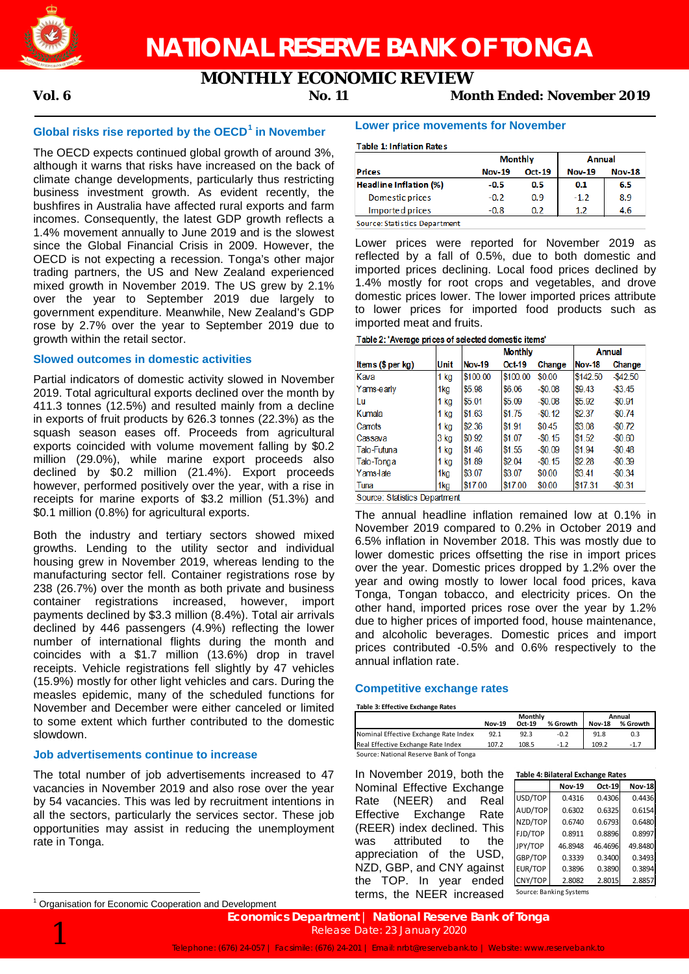

# **MONTHLY ECONOMIC REVIEW**

**Vol. 6 No. 11 Month Ended: November 2019**

# **Global risks rise reported by the OECD***0F* **<sup>1</sup> in November**

The OECD expects continued global growth of around 3%, although it warns that risks have increased on the back of climate change developments, particularly thus restricting business investment growth. As evident recently, the bushfires in Australia have affected rural exports and farm incomes. Consequently, the latest GDP growth reflects a 1.4% movement annually to June 2019 and is the slowest since the Global Financial Crisis in 2009. However, the OECD is not expecting a recession. Tonga's other major trading partners, the US and New Zealand experienced mixed growth in November 2019. The US grew by 2.1% over the year to September 2019 due largely to government expenditure. Meanwhile, New Zealand's GDP rose by 2.7% over the year to September 2019 due to growth within the retail sector.

## **Slowed outcomes in domestic activities**

Partial indicators of domestic activity slowed in November 2019. Total agricultural exports declined over the month by 411.3 tonnes (12.5%) and resulted mainly from a decline in exports of fruit products by 626.3 tonnes (22.3%) as the squash season eases off. Proceeds from agricultural exports coincided with volume movement falling by \$0.2 million (29.0%), while marine export proceeds also declined by \$0.2 million (21.4%). Export proceeds however, performed positively over the year, with a rise in receipts for marine exports of \$3.2 million (51.3%) and \$0.1 million (0.8%) for agricultural exports.

Both the industry and tertiary sectors showed mixed growths. Lending to the utility sector and individual housing grew in November 2019, whereas lending to the manufacturing sector fell. Container registrations rose by 238 (26.7%) over the month as both private and business container registrations increased, however, import payments declined by \$3.3 million (8.4%). Total air arrivals declined by 446 passengers (4.9%) reflecting the lower number of international flights during the month and coincides with a \$1.7 million (13.6%) drop in travel receipts. Vehicle registrations fell slightly by 47 vehicles (15.9%) mostly for other light vehicles and cars. During the measles epidemic, many of the scheduled functions for November and December were either canceled or limited to some extent which further contributed to the domestic slowdown.

# **Job advertisements continue to increase**

The total number of job advertisements increased to 47 vacancies in November 2019 and also rose over the year by 54 vacancies. This was led by recruitment intentions in all the sectors, particularly the services sector. These job opportunities may assist in reducing the unemployment rate in Tonga.

### **Lower price movements for November**

#### **Table 1: Inflation Rates**

|                               | <b>Monthly</b> |               | <b>Annual</b> |               |  |
|-------------------------------|----------------|---------------|---------------|---------------|--|
| <b>Prices</b>                 | <b>Nov-19</b>  | <b>Oct-19</b> | <b>Nov-19</b> | <b>Nov-18</b> |  |
| Headline Inflation (%)        | $-0.5$         | 0.5           | 0.1           | 6.5           |  |
| Domestic prices               | $-0.2$         | 0.9           | $-1.2$        | 8.9           |  |
| Imported prices               | -0.8           | 0.2           | 1.2           | 4.6           |  |
| Source: Statistics Department |                |               |               |               |  |

Lower prices were reported for November 2019 as reflected by a fall of 0.5%, due to both domestic and imported prices declining. Local food prices declined by 1.4% mostly for root crops and vegetables, and drove domestic prices lower. The lower imported prices attribute to lower prices for imported food products such as imported meat and fruits.

|                   |                 |               | <b>Monthly</b> |           | <b>Annual</b> |             |
|-------------------|-----------------|---------------|----------------|-----------|---------------|-------------|
| Items (\$ per kg) | Unit            | <b>Nov-19</b> | Oct-19         | Change    | <b>Nov-18</b> | Change      |
| Kava              | $1$ kg          | \$100.00      | \$100.00       | \$0.00    | \$142.50      | $-$ \$42.50 |
| Yams-early        | 1kg             | \$5.98        | \$6.06         | $-$0.08$  | \$9.43        | $-$ \$3.45  |
| Lu                | 1 kg            | \$5.01        | \$5.09         | $-50.08$  | \$5.92        | $-50.91$    |
| Kumala            | $1$ kg          | \$1.63        | \$1.75         | $-50.12$  | \$2.37        | $-50.74$    |
| Carrots           | 1 kg            | \$2,36        | \$1.91         | \$0.45    | \$3.08        | $-$0.72$    |
| Cassava           | 3 kg            | \$0.92        | \$1.07         | $-\$0.15$ | \$1.52        | $-$0.60$    |
| Talo-Futuna       | 1 kg            | \$1.46        | \$1.55         | $-50.09$  | \$1.94        | $-$0.48$    |
| Talo-Tonga        | 1 kg            | \$1.89        | \$2.04         | $-80.15$  | \$2.28        | $-$0.39$    |
| Yams-late         | 1 <sub>kg</sub> | \$3.07        | \$3.07         | \$0.00    | \$3.41        | $-$0.34$    |
| Tuna              | 1kg             | \$17.00       | \$17.00        | \$0.00    | \$17.31       | $-$0.31$    |

Source: Statistics Department

The annual headline inflation remained low at 0.1% in November 2019 compared to 0.2% in October 2019 and 6.5% inflation in November 2018. This was mostly due to lower domestic prices offsetting the rise in import prices over the year. Domestic prices dropped by 1.2% over the year and owing mostly to lower local food prices, kava Tonga, Tongan tobacco, and electricity prices. On the other hand, imported prices rose over the year by 1.2% due to higher prices of imported food, house maintenance, and alcoholic beverages. Domestic prices and import prices contributed -0.5% and 0.6% respectively to the annual inflation rate.

## **Competitive exchange rates**

**Table 3: Effective Exchange Rates**

|                                        | Monthly       |        |          |               | Annual   |  |
|----------------------------------------|---------------|--------|----------|---------------|----------|--|
|                                        | <b>Nov-19</b> | Oct-19 | % Growth | <b>Nov-18</b> | % Growth |  |
| Nominal Effective Exchange Rate Index  | 92.1          | 92.3   | $-0.2$   | 91.8          | 0.3      |  |
| Real Effective Exchange Rate Index     | 107.2         | 108.5  | $-12$    | 109.2         | $-1.7$   |  |
| Source: National Reserve Bank of Tonga |               |        |          |               |          |  |

In November 2019, both the **Table 4: Bilateral Exchange Rates** Nominal Effective Exchange Rate (NEER) and Real Effective Exchange Rate (REER) index declined. This was attributed to the appreciation of the USD, NZD, GBP, and CNY against the TOP. In year ended terms, the NEER increased

|                | <b>Nov-19</b>           | Oct-19  | <b>Nov-18</b> |
|----------------|-------------------------|---------|---------------|
| USD/TOP        | 0.4316                  | 0.4306  | 0.4436        |
| AUD/TOP        | 0.6302                  | 0.6325  | 0.6154        |
| NZD/TOP        | 0.6740                  | 0.6793  | 0.6480        |
| FJD/TOP        | 0.8911                  | 0.8896  | 0.8997        |
| JPY/TOP        | 46.8948                 | 46.4696 | 49.8480       |
| GBP/TOP        | 0.3339                  | 0.3400  | 0.3493        |
| <b>EUR/TOP</b> | 0.3896                  | 0.3890  | 0.3894        |
| CNY/TOP        | 2.8082                  | 2.8015  | 2.8857        |
|                | Source: Banking Systems |         |               |

 $1$  Organisation for Economic Cooperation and Development

 $\overline{a}$ 

**Economics Department | National Reserve Bank of Tonga**<br>Release Date: 23 January 2020<br>Telephone: (676) 24-057 | Facsimile: (676) 24-201 | Email: nrbt@reservebank.to | Website: www.reservebank.to Release Date: 23 January 2020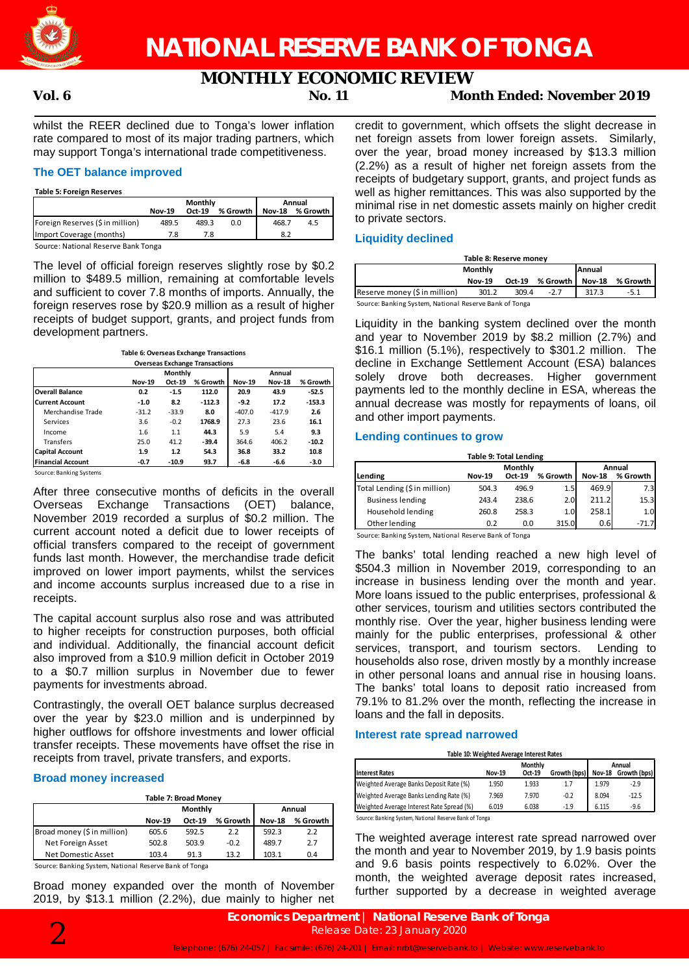

# **MONTHLY ECONOMIC REVIEW**

# **Vol. 6 No. 11 Month Ended: November 2019**

whilst the REER declined due to Tonga's lower inflation rate compared to most of its major trading partners, which may support Tonga's international trade competitiveness.

# **The OET balance improved**

#### **Table 5: Foreign Reserves**

|                                                          | Monthly       |        |            | Annual |                 |  |
|----------------------------------------------------------|---------------|--------|------------|--------|-----------------|--|
|                                                          | <b>Nov-19</b> | Oct-19 | % Growth I |        | Nov-18 % Growth |  |
| Foreign Reserves (\$ in million)                         | 489.5         | 489.3  | 0.0        | 468.7  | 4.5             |  |
| Import Coverage (months)                                 |               | 7.8    |            | 8.2    |                 |  |
| Contract Martin and December 1986, and The Contract 1986 |               |        |            |        |                 |  |

Source: National Reserve Bank Tonga

The level of official foreign reserves slightly rose by \$0.2 million to \$489.5 million, remaining at comfortable levels and sufficient to cover 7.8 months of imports. Annually, the foreign reserves rose by \$20.9 million as a result of higher receipts of budget support, grants, and project funds from development partners.

| <b>Table 6: Overseas Exchange Transactions</b> |
|------------------------------------------------|
| <b>Overseas Exchange Transactions</b>          |

|                          |               | Monthly |          | Annual        |               |          |  |
|--------------------------|---------------|---------|----------|---------------|---------------|----------|--|
|                          | <b>Nov-19</b> | Oct-19  | % Growth | <b>Nov-19</b> | <b>Nov-18</b> | % Growth |  |
| <b>Overall Balance</b>   | 0.2           | $-1.5$  | 112.0    | 20.9          | 43.9          | $-52.5$  |  |
| <b>Current Account</b>   | $-1.0$        | 8.2     | $-112.3$ | $-9.2$        | 17.2          | $-153.3$ |  |
| Merchandise Trade        | $-31.2$       | $-33.9$ | 8.0      | $-407.0$      | $-417.9$      | 2.6      |  |
| Services                 | 3.6           | $-0.2$  | 1768.9   | 27.3          | 23.6          | 16.1     |  |
| Income                   | 1.6           | 1.1     | 44.3     | 5.9           | 5.4           | 9.3      |  |
| Transfers                | 25.0          | 41.2    | $-39.4$  | 364.6         | 406.2         | $-10.2$  |  |
| <b>Capital Account</b>   | 1.9           | 1.2     | 54.3     | 36.8          | 33.2          | 10.8     |  |
| <b>Financial Account</b> | $-0.7$        | $-10.9$ | 93.7     | -6.8          | -6.6          | -3.0     |  |

Source: Banking Systems

After three consecutive months of deficits in the overall Overseas Exchange Transactions (OET) balance, November 2019 recorded a surplus of \$0.2 million. The current account noted a deficit due to lower receipts of official transfers compared to the receipt of government funds last month. However, the merchandise trade deficit improved on lower import payments, whilst the services and income accounts surplus increased due to a rise in receipts.

The capital account surplus also rose and was attributed to higher receipts for construction purposes, both official and individual. Additionally, the financial account deficit also improved from a \$10.9 million deficit in October 2019 to a \$0.7 million surplus in November due to fewer payments for investments abroad.

Contrastingly, the overall OET balance surplus decreased over the year by \$23.0 million and is underpinned by higher outflows for offshore investments and lower official transfer receipts. These movements have offset the rise in receipts from travel, private transfers, and exports.

## **Broad money increased**

| Table 7: Broad Money        |               |         |          |               |          |  |
|-----------------------------|---------------|---------|----------|---------------|----------|--|
|                             |               | Monthly | Annual   |               |          |  |
|                             | <b>Nov-19</b> | Oct-19  | % Growth | <b>Nov-18</b> | % Growth |  |
| Broad money (\$ in million) | 605.6         | 592.5   | 2.2      | 592.3         | 2.2      |  |
| Net Foreign Asset           | 502.8         | 503.9   | $-0.2$   | 489.7         | 2.7      |  |
| Net Domestic Asset          | 103.4         | 91.3    | 13.2     | 103.1         | 0.4      |  |

Source: Banking System, National Reserve Bank of Tonga

Broad money expanded over the month of November 2019, by \$13.1 million (2.2%), due mainly to higher net

credit to government, which offsets the slight decrease in net foreign assets from lower foreign assets. Similarly, over the year, broad money increased by \$13.3 million (2.2%) as a result of higher net foreign assets from the receipts of budgetary support, grants, and project funds as well as higher remittances. This was also supported by the minimal rise in net domestic assets mainly on higher credit to private sectors.

### **Liquidity declined**

| Table 8: Reserve money                                 |                                       |  |  |  |  |  |  |
|--------------------------------------------------------|---------------------------------------|--|--|--|--|--|--|
| <b>Monthly</b><br><b>Annual</b>                        |                                       |  |  |  |  |  |  |
|                                                        | % Growth l<br>Oct-19<br><b>Nov-19</b> |  |  |  |  |  |  |
| Reserve money (\$ in million)                          | 317.3                                 |  |  |  |  |  |  |
| Source: Banking System, National Reserve Bank of Tonga |                                       |  |  |  |  |  |  |

Liquidity in the banking system declined over the month and year to November 2019 by \$8.2 million (2.7%) and \$16.1 million (5.1%), respectively to \$301.2 million. The decline in Exchange Settlement Account (ESA) balances solely drove both decreases. Higher government payments led to the monthly decline in ESA, whereas the annual decrease was mostly for repayments of loans, oil and other import payments.

### **Lending continues to grow**

| <b>Table 9: Total Lending</b> |               |          |          |               |          |  |  |  |
|-------------------------------|---------------|----------|----------|---------------|----------|--|--|--|
|                               |               | Monthly  | Annual   |               |          |  |  |  |
| Lending                       | <b>Nov-19</b> | $Oct-19$ | % Growth | <b>Nov-18</b> | % Growth |  |  |  |
| Total Lending (\$ in million) | 504.3         | 496.9    | 1.5      | 469.9         | 7.3      |  |  |  |
| <b>Business lending</b>       | 243.4         | 238.6    | 2.0      | 211.2         | 15.3     |  |  |  |
| Household lending             | 260.8         | 258.3    | 1.0      | 258.1         | 1.0      |  |  |  |
| Other lending                 | 0.2           | 0.0      | 315.0    | 0.6           | $-71.7$  |  |  |  |

Source: Banking System, National Reserve Bank of Tonga

The banks' total lending reached a new high level of \$504.3 million in November 2019, corresponding to an increase in business lending over the month and year. More loans issued to the public enterprises, professional & other services, tourism and utilities sectors contributed the monthly rise. Over the year, higher business lending were mainly for the public enterprises, professional & other services, transport, and tourism sectors. Lending to households also rose, driven mostly by a monthly increase in other personal loans and annual rise in housing loans. The banks' total loans to deposit ratio increased from 79.1% to 81.2% over the month, reflecting the increase in loans and the fall in deposits.

#### **Interest rate spread narrowed**

**Table 10: Weighted Average Interest Rates**

|                                           |               | Monthly | Annual       |               |              |
|-------------------------------------------|---------------|---------|--------------|---------------|--------------|
| <b>Interest Rates</b>                     | <b>Nov-19</b> | Oct-19  | Growth (bps) | <b>Nov-18</b> | Growth (bps) |
| Weighted Average Banks Deposit Rate (%)   | 1.950         | 1.933   | 1.7          | 1.979         | $-2.9$       |
| Weighted Average Banks Lending Rate (%)   | 7.969         | 7.970   | $-0.2$       | 8.094         | $-12.5$      |
| Weighted Average Interest Rate Spread (%) | 6.019         | 6.038   | $-1.9$       | 6.115         | $-9.6$       |

Source: Banking System, National Reserve Bank of Tonga

The weighted average interest rate spread narrowed over the month and year to November 2019, by 1.9 basis points and 9.6 basis points respectively to 6.02%. Over the month, the weighted average deposit rates increased, further supported by a decrease in weighted average